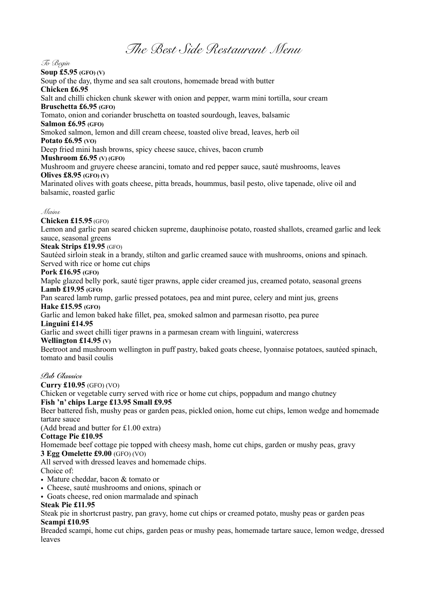*The Best Side Restaurant Menu* 

#### *To Begin*

**Soup £5.95 (GFO) (V)** 

Soup of the day, thyme and sea salt croutons, homemade bread with butter **Chicken £6.95**  Salt and chilli chicken chunk skewer with onion and pepper, warm mini tortilla, sour cream **Bruschetta £6.95 (GFO)** Tomato, onion and coriander bruschetta on toasted sourdough, leaves, balsamic **Salmon £6.95 (GFO)** Smoked salmon, lemon and dill cream cheese, toasted olive bread, leaves, herb oil **Potato £6.95 (VO)** Deep fried mini hash browns, spicy cheese sauce, chives, bacon crumb **Mushroom £6.95 (V) (GFO)**  Mushroom and gruyere cheese arancini, tomato and red pepper sauce, sauté mushrooms, leaves **Olives £8.95 (GFO) (V)** Marinated olives with goats cheese, pitta breads, hoummus, basil pesto, olive tapenade, olive oil and balsamic, roasted garlic

#### *Mains*

**Chicken £15.95** (GFO)

Lemon and garlic pan seared chicken supreme, dauphinoise potato, roasted shallots, creamed garlic and leek sauce, seasonal greens

## **Steak Strips £19.95** (GFO)

Sautéed sirloin steak in a brandy, stilton and garlic creamed sauce with mushrooms, onions and spinach. Served with rice or home cut chips

#### **Pork £16.95 (GFO)**

Maple glazed belly pork, sauté tiger prawns, apple cider creamed jus, creamed potato, seasonal greens **Lamb £19.95 (GFO)**

Pan seared lamb rump, garlic pressed potatoes, pea and mint puree, celery and mint jus, greens **Hake £15.95 (GFO)**

Garlic and lemon baked hake fillet, pea, smoked salmon and parmesan risotto, pea puree **Linguini £14.95** 

Garlic and sweet chilli tiger prawns in a parmesan cream with linguini, watercress

#### **Wellington £14.95 (V)**

Beetroot and mushroom wellington in puff pastry, baked goats cheese, lyonnaise potatoes, sautéed spinach, tomato and basil coulis

#### *Pub Classics*

**Curry £10.95** (GFO) (VO)

Chicken or vegetable curry served with rice or home cut chips, poppadum and mango chutney

## **Fish 'n' chips Large £13.95 Small £9.95**

Beer battered fish, mushy peas or garden peas, pickled onion, home cut chips, lemon wedge and homemade tartare sauce

(Add bread and butter for £1.00 extra)

#### **Cottage Pie £10.95**

Homemade beef cottage pie topped with cheesy mash, home cut chips, garden or mushy peas, gravy

# **3 Egg Omelette £9.00** (GFO) (VO)

All served with dressed leaves and homemade chips.

Choice of:

- Mature cheddar, bacon & tomato or
- Cheese, sauté mushrooms and onions, spinach or
- Goats cheese, red onion marmalade and spinach

#### **Steak Pie £11.95**

Steak pie in shortcrust pastry, pan gravy, home cut chips or creamed potato, mushy peas or garden peas **Scampi £10.95**

Breaded scampi, home cut chips, garden peas or mushy peas, homemade tartare sauce, lemon wedge, dressed leaves